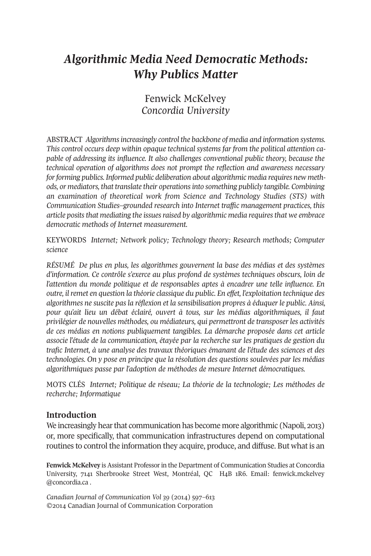# *Algorithmic Media Need Democratic Methods: Why Publics Matter*

# Fenwick McKelvey *Concordia University*

ABSTRACT *Algorithmsincreasingly control the backbone of media and information systems. This control occurs deep within opaque technical systems far from the political attention capable of addressing its influence. It also challenges conventional public theory, because the technical operation of algorithms does not prompt the reflection and awareness necessary forforming publics. Informed public deliberation about algorithmic media requires new methods, or mediators, that translate their operationsinto something publicly tangible. Combining an examination of theoretical work from Science and Technology Studies (STS) with Communication Studies–grounded research into Internet traffic management practices, this article positsthat mediating the issuesraised by algorithmic media requiresthat we embrace democratic methods of Internet measurement.*

KeywoRdS *Internet; Network policy; Technology theory; Research methods; Computer science*

*RÉSUMÉ De plus en plus, les algorithmes gouvernent la base des médias et des systèmes d'information. Ce contrôle s'exerce au plus profond de systèmes techniques obscurs, loin de l'attention du monde politique et de responsables aptes à encadrer une telle influence. En outre, ilremet en question la théorie classique du public. En effet, l'exploitation technique des algorithmes ne suscite pas la réflexion et la sensibilisation propres à éduquer le public. Ainsi, pour qu'ait lieu un débat éclairé, ouvert à tous, sur les médias algorithmiques, il faut privilégier de nouvelles méthodes, ou médiateurs, qui permettront de transposer les activités de ces médias en notions publiquement tangibles. La démarche proposée dans cet article associe l'étude de la communication, étayée par la recherche sur les pratiques de gestion du trafic Internet, à une analyse des travaux théoriques émanant de l'étude des sciences et des technologies. On y pose en principe que la résolution des questions soulevées par les médias algorithmiques passe par l'adoption de méthodes de mesure Internet démocratiques.*

MoTS CLÉS *Internet; Politique de réseau; La théorie de la technologie; Les méthodes de recherche; Informatique*

### **Introduction**

We increasingly hear that communication has become more algorithmic (Napoli, 2013) or, more specifically, that communication infrastructures depend on computational routines to control the information they acquire, produce, and diffuse. But what is an

**Fenwick McKelvey** is Assistant Professorin the department of Communication Studies at Concordia University, 7141 Sherbrooke Street West, Montréal, QC H4B 1R6. Email: [fenwick.mckelvey](mailto:fenwick.mckelvey@concordia.ca) [@concordia.ca](mailto:fenwick.mckelvey@concordia.ca) .

*Canadian Journal of Communication Vol 39* (2014) 597–613 ©2014 Canadian Journal of Communication Corporation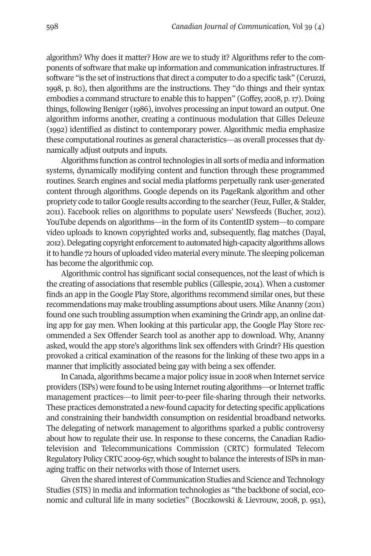algorithm? why does it matter? How are we to study it? Algorithms refer to the components of software that make up information and communication infrastructures. If software "is the set of instructions that direct a computer to do a specific task" (Ceruzzi, 1998, p. 80), then algorithms are the instructions. They "do things and their syntax embodies a command structure to enable this to happen" (Goffey, 2008, p. 17). Doing things, following Beniger (1986), involves processing an input toward an output. one algorithm informs another, creating a continuous modulation that Gilles Deleuze (1992) identified as distinct to contemporary power. Algorithmic media emphasize these computational routines as general characteristics—as overall processes that dynamically adjust outputs and inputs.

Algorithms function as control technologies in all sorts of media and information systems, dynamically modifying content and function through these programmed routines. Search engines and social media platforms perpetually rank user-generated content through algorithms. Google depends on its PageRank algorithm and other propriety code to tailorGoogle results according to the searcher (Feuz, Fuller, & Stalder, 2011). Facebook relies on algorithms to populate users' Newsfeeds (Bucher, 2012). youTube depends on algorithms—in the form of its ContentId system—to compare video uploads to known copyrighted works and, subsequently, flag matches (Dayal, 2012). Delegating copyright enforcement to automated high-capacity algorithms allows it to handle 72 hours of uploaded video material every minute. The sleeping policeman has become the algorithmic cop.

Algorithmic control has significant social consequences, not the least of which is the creating of associations that resemble publics (Gillespie, 2014). when a customer finds an app in the Google Play Store, algorithms recommend similar ones, but these recommendations may make troubling assumptions about users. Mike Ananny (2011) found one such troubling assumption when examining the Grindr app, an online dating app for gay men. when looking at this particular app, the Google Play Store recommended a Sex offender Search tool as another app to download. why, Ananny asked, would the app store's algorithms link sex offenders with Grindr? His question provoked a critical examination of the reasons for the linking of these two apps in a manner that implicitly associated being gay with being a sex offender.

In Canada, algorithms became a major policy issue in 2008 when Internet service providers (ISPs) were found to be using Internet routing algorithms—or Internet traffic management practices—to limit peer-to-peer file-sharing through their networks. These practices demonstrated a new-found capacity for detecting specific applications and constraining their bandwidth consumption on residential broadband networks. The delegating of network management to algorithms sparked a public controversy about how to regulate their use. In response to these concerns, the Canadian Radiotelevision and Telecommunications Commission (CRTC) formulated Telecom Regulatory Policy CRTC 2009-657, which sought to balance the interests of ISPs in managing traffic on their networks with those of Internet users.

Given the shared interest of Communication Studies and Science and Technology Studies (STS) in media and information technologies as "the backbone of social, economic and cultural life in many societies" (Boczkowski & Lievrouw, 2008, p. 951),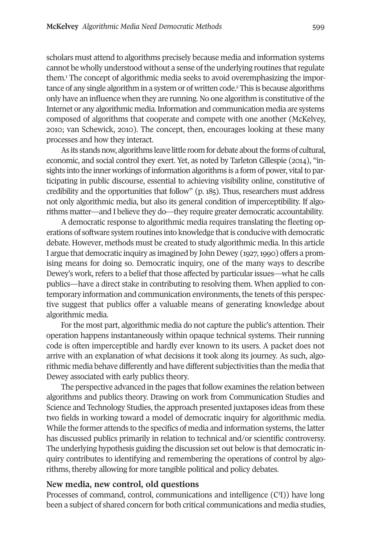scholars must attend to algorithms precisely because media and information systems cann[ot](#page-13-1) be wholly understood without a sense of the underlying routines that regulate them. <sup>1</sup> The concept of algorithmic media seeks to avoid [ove](#page-13-0)remphasizing the importance of any single algorithm in a system or of written code. <sup>2</sup> This is because algorithms only have an influence when they are running. No one algorithm is constitutive ofthe Internet or any algorithmic media.Information and communication media are systems composed of algorithms that cooperate and compete with one another (McKelvey, 2010; van Schewick, 2010). The concept, then, encourages looking at these many processes and how they interact.

As its stands now, algorithms leave little room for debate about the forms of cultural, economic, and social control they exert. yet, as noted by Tarleton Gillespie (2014), "insights into the inner workings of information algorithms is a form of power, vital to participating in public discourse, essential to achieving visibility online, constitutive of credibility and the opportunities that follow" (p. 185). Thus, researchers must address not only algorithmic media, but also its general condition of imperceptibility. If algorithms matter—and I believe they do—they require greater democratic accountability.

A democratic response to algorithmic media requires translating the fleeting operations of software system routines into knowledge thatis conducive with democratic debate. However, methods must be created to study algorithmic media. In this article I argue that democratic inquiry as imagined by John Dewey (1927, 1990) offers a promising means for doing so. Democratic inquiry, one of the many ways to describe Dewey's work, refers to a belief that those affected by particular issues—what he calls publics—have a direct stake in contributing to resolving them. when applied to contemporary information and communication environments, the tenets of this perspective suggest that publics offer a valuable means of generating knowledge about algorithmic media.

For the most part, algorithmic media do not capture the public's attention. Their operation happens instantaneously within opaque technical systems. Their running code is often imperceptible and hardly ever known to its users. A packet does not arrive with an explanation of what decisions it took along its journey. As such, algorithmic media behave differently and have different subjectivities than the media that Dewey associated with early publics theory.

The perspective advanced in the pages that follow examines the relation between algorithms and publics theory. Drawing on work from Communication Studies and Science and Technology Studies, the approach presented juxtaposes ideas from these two fields in working toward a model of democratic inquiry for algorithmic media. while the former attends to the specifics of media and information systems, the latter has discussed publics primarily in relation to technical and/or scientific controversy. The underlying hypothesis guiding the discussion set out below is that democratic inquiry contributes to identifying and remembering the operations of control by algorithms, thereby allowing for more tangible political and policy debates.

#### **New media, new control, old questions**

Processes of command, control, communications and intelligence (C<sup>3</sup>I)) have long been a subject of shared concern for both critical communications and media studies,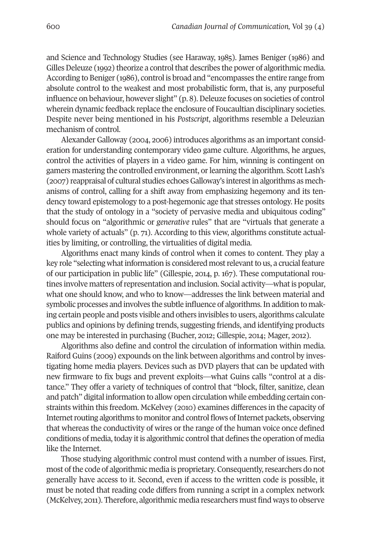and Science and Technology Studies (see Haraway, 1985). James Beniger (1986) and Gilles Deleuze (1992) theorize a control that describes the power of algorithmic media. According to Beniger (1986), control is broad and "encompasses the entire range from absolute control to the weakest and most probabilistic form, that is, any purposeful influence on behaviour, however slight" (p. 8). Deleuze focuses on societies of control wherein dynamic feedback replace the enclosure of Foucaultian disciplinary societies. Despite never being mentioned in his *Postscript*, algorithms resemble a Deleuzian mechanism of control.

Alexander Galloway (2004, 2006) introduces algorithms as an important consideration for understanding contemporary video game culture. Algorithms, he argues, control the activities of players in a video game. For him, winning is contingent on gamers mastering the controlled environment, orlearning the algorithm. Scott Lash's (2007) reappraisal of cultural studies echoesGalloway's interestin algorithms as mechanisms of control, calling for a shift away from emphasizing hegemony and its tendency toward epistemology to a post-hegemonic age that stresses ontology. He posits that the study of ontology in a "society of pervasive media and ubiquitous coding" should focus on "algorithmic or *generative* rules" that are "virtuals that generate a whole variety of actuals" (p. 71). According to this view, algorithms constitute actualities by limiting, or controlling, the virtualities of digital media.

Algorithms enact many kinds of control when it comes to content. They play a key role "selecting what information is considered most relevant to us, a crucial feature of our participation in public life" (Gillespie, 2014, p. 167). These computational routines involve matters of representation and inclusion. Social activity—what is popular, what one should know, and who to know—addresses the link between material and symbolic processes and involves the subtle influence of algorithms.In addition to making certain people and posts visible and others invisibles to users, algorithms calculate publics and opinions by defining trends, suggesting friends, and identifying products one may be interested in purchasing (Bucher, 2012; Gillespie, 2014; Mager, 2012).

Algorithms also define and control the circulation of information within media. Raiford Guins (2009) expounds on the link between algorithms and control by investigating home media players. Devices such as DVD players that can be updated with new firmware to fix bugs and prevent exploits—what Guins calls "control at a distance." They offer a variety of techniques of control that "block, filter, sanitize, clean and patch" digital information to allow open circulation while embedding certain constraints within this freedom. McKelvey (2010) examines differences in the capacity of Internet routing algorithms to monitor and control flows of Internet packets, observing that whereas the conductivity of wires or the range of the human voice once defined conditions of media, today it is algorithmic control that defines the operation of media like the Internet.

Those studying algorithmic control must contend with a number of issues. First, most of the code of algorithmic media is proprietary. Consequently, researchers do not generally have access to it. Second, even if access to the written code is possible, it must be noted that reading code differs from running a script in a complex network (McKelvey, 2011). Therefore, algorithmic media researchers must find ways to observe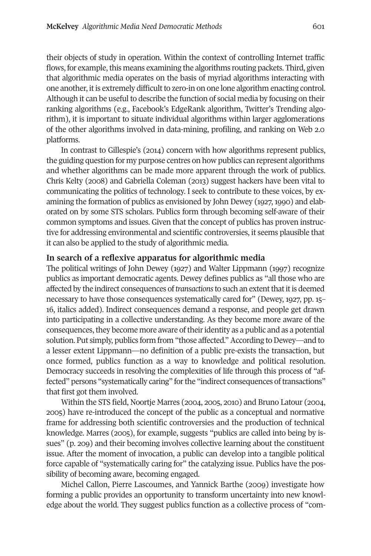their objects of study in operation. within the context of controlling Internet traffic flows, for example, this means examining the algorithms routing packets. Third, given that algorithmic media operates on the basis of myriad algorithms interacting with one another, it is extremely difficult to zero-in on one lone algorithm enacting control. Although it can be useful to describe the function of social media by focusing on their ranking algorithms (e.g., Facebook's edgeRank algorithm, Twitter's Trending algorithm), it is important to situate individual algorithms within larger agglomerations of the other algorithms involved in data-mining, profiling, and ranking on web 2.0 platforms.

In contrast to Gillespie's (2014) concern with how algorithms represent publics, the guiding question for my purpose centres on how publics can represent algorithms and whether algorithms can be made more apparent through the work of publics. Chris Kelty (2008) and Gabriella Coleman (2013) suggest hackers have been vital to communicating the politics of technology. I seek to contribute to these voices, by examining the formation of publics as envisioned by John Dewey (1927, 1990) and elaborated on by some STS scholars. Publics form through becoming self-aware of their common symptoms and issues. Given that the concept of publics has proven instructive for addressing environmental and scientific controversies, it seems plausible that it can also be applied to the study of algorithmic media.

### **In search of a reflexive apparatus for algorithmic media**

The political writings of John dewey (1927) and walter Lippmann (1997) recognize publics as important democratic agents. Dewey defines publics as "all those who are affected by the indirect consequences of*transactions*to such an extentthatitis deemed necessary to have those consequences systematically cared for" (Dewey, 1927, pp. 15– 16, italics added). Indirect consequences demand a response, and people get drawn into participating in a collective understanding. As they become more aware of the consequences,they become more aware oftheiridentity as a public and as a potential solution. Put simply, publics form from "those affected." According to Dewey—and to a lesser extent Lippmann—no definition of a public pre-exists the transaction, but once formed, publics function as a way to knowledge and political resolution. Democracy succeeds in resolving the complexities of life through this process of "affected" persons "systematically caring" for the "indirect consequences of transactions" that first got them involved.

within the STS field, Noortje Marres (2004, 2005, 2010) and Bruno Latour (2004, 2005) have re-introduced the concept of the public as a conceptual and normative frame for addressing both scientific controversies and the production of technical knowledge. Marres (2005), for example, suggests "publics are called into being by issues" (p. 209) and their becoming involves collective learning about the constituent issue. After the moment of invocation, a public can develop into a tangible political force capable of "systematically caring for" the catalyzing issue. Publics have the possibility of becoming aware, becoming engaged.

Michel Callon, Pierre Lascoumes, and yannick Barthe (2009) investigate how forming a public provides an opportunity to transform uncertainty into new knowledge about the world. They suggest publics function as a collective process of "com-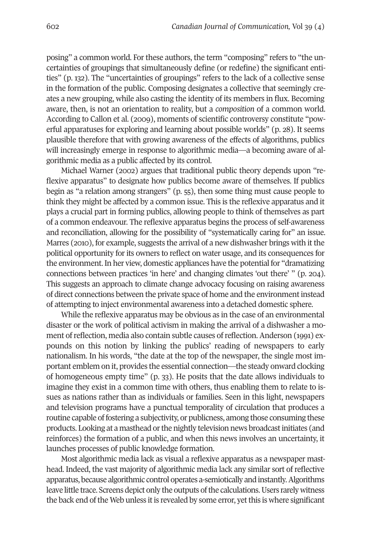posing" a common world*.* For these authors, the term "composing" refers to "the uncertainties of groupings that simultaneously define (or redefine) the significant entities" (p. 132). The "uncertainties of groupings" refers to the lack of a collective sense in the formation of the public. Composing designates a collective that seemingly creates a new grouping, while also casting the identity of its members in flux. Becoming aware, then, is not an orientation to reality, but a *composition* of a common world. According to Callon et al. (2009), moments of scientific controversy constitute "powerful apparatuses for exploring and learning about possible worlds" (p. 28). It seems plausible therefore that with growing awareness of the effects of algorithms, publics will increasingly emerge in response to algorithmic media—a becoming aware of algorithmic media as a public affected by its control.

Michael warner (2002) argues that traditional public theory depends upon "reflexive apparatus" to designate how publics become aware of themselves. If publics begin as "a relation among strangers" (p. 55), then some thing must cause people to think they might be affected by a common issue. This is the reflexive apparatus and it plays a crucial part in forming publics, allowing people to think of themselves as part of a common endeavour. The reflexive apparatus begins the process of self-awareness and reconciliation, allowing for the possibility of "systematically caring for" an issue. Marres (2010), for example, suggests the arrival of a new dishwasher brings with it the political opportunity for its owners to reflect on water usage, and its consequences for the environment.In her view, domestic appliances have the potential for "dramatizing connections between practices 'in here' and changing climates 'out there' " (p. 204). This suggests an approach to climate change advocacy focusing on raising awareness of direct connections between the private space of home and the environmentinstead of attempting to inject environmental awareness into a detached domestic sphere.

while the reflexive apparatus may be obvious as in the case of an environmental disaster or the work of political activism in making the arrival of a dishwasher a moment ofreflection, media also contain subtle causes ofreflection. Anderson (1991) expounds on this notion by linking the publics' reading of newspapers to early nationalism. In his words, "the date at the top of the newspaper, the single most important emblem on it, provides the essential connection—the steady onward clocking of homogeneous empty time" (p. 33). He posits that the date allows individuals to imagine they exist in a common time with others, thus enabling them to relate to issues as nations rather than as individuals or families. Seen in this light, newspapers and television programs have a punctual temporality of circulation that produces a routine capable of fostering a subjectivity, or publicness, among those consuming these products. Looking at a masthead orthe nightly television news broadcastinitiates (and reinforces) the formation of a public, and when this news involves an uncertainty, it launches processes of public knowledge formation.

Most algorithmic media lack as visual a reflexive apparatus as a newspaper masthead. Indeed, the vast majority of algorithmic media lack any similar sort of reflective apparatus, because algorithmic control operates a-semiotically and instantly.Algorithms leave little trace. Screens depict only the outputs of the calculations. Users rarely witness the back end of the Web unless it is revealed by some error, yet this is where significant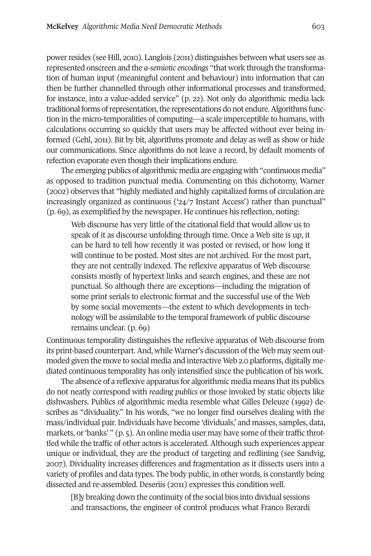power resides (see Hill, 2010). Langlois (2011) distinguishes between what users see as represented onscreen and the *a-semiotic encodings* "that work through the transformation of human input (meaningful content and behaviour) into information that can then be further channelled through other informational processes and transformed, for instance, into a value-added service" (p. 22). Not only do algorithmic media lack traditional forms of representation, the representations do not endure. Algorithms function in the micro-temporalities of computing—a scale imperceptible to humans, with calculations occurring so quickly that users may be affected without ever being informed (Gehl, 2011). Bit by bit, algorithms promote and delay as well as show or hide our communications. Since algorithms do not leave a record, by default moments of refection evaporate even though their implications endure.

The emerging publics of algorithmic media are engaging with "continuous media" as opposed to tradition punctual media. Commenting on this dichotomy, warner (2002) observes that "highly mediated and highly capitalized forms of circulation are increasingly organized as continuous ('24/7 Instant Access') rather than punctual" (p. 69), as exemplified by the newspaper. He continues his reflection, noting:

web discourse has very little of the citational field that would allow us to speak of it as discourse unfolding through time. Once a Web site is up, it can be hard to tell how recently it was posted or revised, or how long it will continue to be posted. Most sites are not archived. For the most part, they are not centrally indexed. The reflexive apparatus of web discourse consists mostly of hypertext links and search engines, and these are not punctual. So although there are exceptions—including the migration of some print serials to electronic format and the successful use of the web by some social movements—the extent to which developments in technology will be assimilable to the temporal framework of public discourse remains unclear. (p. 69)

Continuous temporality distinguishes the reflexive apparatus of web discourse from its print-based counterpart. And, while warner's discussion of the web may seem outmoded given the move to social media and interactive web 2.0 platforms, digitally mediated continuous temporality has only intensified since the publication of his work.

The absence of a reflexive apparatus for algorithmic media means that its publics do not neatly correspond with *reading publics* or those invoked by static objects like dishwashers. Publics of algorithmic media resemble what Gilles Deleuze (1992) describes as "dividuality." In his words, "we no longer find ourselves dealing with the mass/individual pair. Individuals have become 'dividuals,' and masses, samples, data, markets, or 'banks' " (p. 5). An online media user may have some of their traffic throttled while the traffic of other actors is accelerated. Although such experiences appear unique or individual, they are the product of targeting and redlining (see Sandvig, 2007). dividuality increases differences and fragmentation as it dissects users into a variety of profiles and data types. The body public, in other words, is constantly being dissected and re-assembled. Deseriis (2011) expresses this condition well.

[B]y breaking down the continuity of the social bios into dividual sessions and transactions, the engineer of control produces what Franco Berardi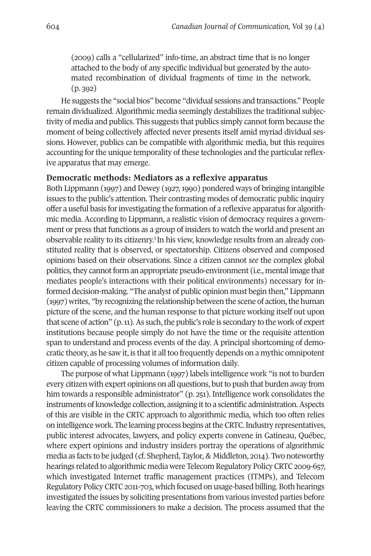(2009) calls a "cellularized" info-time, an abstract time that is no longer attached to the body of any specific individual but generated by the automated recombination of dividual fragments of time in the network. (p. 392)

He suggests the "social bios" become "dividual sessions and transactions." People remain dividualized. Algorithmic media seemingly destabilizes the traditional subjectivity of media and publics. This suggests that publics simply cannot form because the moment of being collectively affected never presents itself amid myriad dividual sessions. However, publics can be compatible with algorithmic media, but this requires accounting for the unique temporality of these technologies and the particular reflexive apparatus that may emerge.

# **Democratic methods: Mediators as a reflexive apparatus**

Both Lippmann (1997) and dewey (1927,1990) pondered ways of bringing intangible issues to the public's attention. Their contrasting modes of democratic public inquiry offer a useful basis forinvestigating the formation of a reflexive apparatus for algorithmic media. According to Lippmann, a realistic vision of democracy requires a government or press that functions as a [g](#page-13-2)roup of insiders to watch the world and present an observable reality to its citizenry. <sup>3</sup> In his view, knowledge results from an already constituted reality that is observed, or spectatorship. Citizens observed and composed opinions based on their observations. Since a citizen cannot *see* the complex global politics, they cannot form an appropriate pseudo-environment (i.e., mental image that mediates people's interactions with their political environments) necessary for informed decision-making. "The analyst of public opinion must begin then," Lippmann (1997) writes, "by recognizing the relationship between the scene of action, the human picture of the scene, and the human response to that picture working itself out upon that scene of action"  $(p, n)$ . As such, the public's role is secondary to the work of expert institutions because people simply do not have the time or the requisite attention span to understand and process events of the day. A principal shortcoming of democratic theory, as he saw it, is that it all too frequently depends on a mythic omnipotent citizen capable of processing volumes of information daily.

The purpose of what Lippmann (1997) labels intelligence work "is not to burden every citizen with expert opinions on all questions, butto push that burden away from him towards a responsible administrator" (p. 251). Intelligence work consolidates the instruments of knowledge collection, assigning it to a scientific administration. Aspects of this are visible in the CRTC approach to algorithmic media, which too often relies on intelligence work. The learning process begins at the CRTC. Industry representatives, public interest advocates, lawyers, and policy experts convene in Gatineau, Québec, where expert opinions and industry insiders portray the operations of algorithmic media as facts to be judged (cf. Shepherd, Taylor, & Middleton, 2014). Two noteworthy hearings related to algorithmic media were Telecom Regulatory Policy CRTC 2009-657, which investigated Internet traffic management practices (ITMPs), and Telecom Regulatory Policy CRTC 2011-703, which focused on usage-based billing. Both hearings investigated the issues by soliciting presentations from various invested parties before leaving the CRTC commissioners to make a decision. The process assumed that the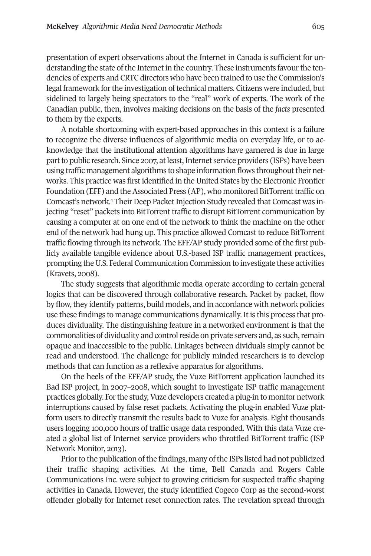presentation of expert observations about the Internet in Canada is sufficient for understanding the state of the Internet in the country. These instruments favour the tendencies of experts and CRTC directors who have been trained to use the Commission's legal framework for the investigation of technical matters. Citizens were included, but sidelined to largely being spectators to the "real" work of experts. The work of the Canadian public, then, involves making decisions on the basis of the *facts* presented to them by the experts.

A notable shortcoming with expert-based approaches in this context is a failure to recognize the diverse influences of algorithmic media on everyday life, or to acknowledge that the institutional attention algorithms have garnered is due in large part to public research. Since 2007, at least, Internet service providers (ISPs) have been using traffic management algorithms to shape information flows throughout their networks. This practice was first identified in the United States by the electronic Frontier Foundation (EFF) [and](#page-13-3) the Associated Press (AP), who monitored BitTorrent traffic on Comcast's network. <sup>4</sup> Their deep Packet Injection Study revealed that Comcast was injecting "reset" packets into BitTorrent traffic to disrupt BitTorrent communication by causing a computer at on one end of the network to think the machine on the other end of the network had hung up. This practice allowed Comcast to reduce BitTorrent traffic flowing through its network. The eFF/AP study provided some of the first publicly available tangible evidence about U.S.-based ISP traffic management practices, prompting theU.S. Federal Communication Commission to investigate these activities (Kravets, 2008).

The study suggests that algorithmic media operate according to certain general logics that can be discovered through collaborative research. Packet by packet, flow by flow,they identify patterns, build models, and in accordance with network policies use these findings to manage communications dynamically. It is this process that produces dividuality. The distinguishing feature in a networked environment is that the commonalities of dividuality and control reside on private servers and, as such, remain opaque and inaccessible to the public. Linkages between dividuals simply cannot be read and understood. The challenge for publicly minded researchers is to develop methods that can function as a reflexive apparatus for algorithms.

on the heels of the eFF/AP study, the Vuze BitTorrent application launched its Bad ISP project, in 2007–2008, which sought to investigate ISP traffic management practices globally. For the study, Vuze developers created a plug-in to monitor network interruptions caused by false reset packets. Activating the plug-in enabled Vuze platform users to directly transmit the results back to Vuze for analysis. Eight thousands users logging 100,000 hours of traffic usage data responded. with this data Vuze created a global list of Internet service providers who throttled BitTorrent traffic (ISP Network Monitor, 2013).

Prior to the publication of the findings, many of the ISPs listed had not publicized their traffic shaping activities. At the time, Bell Canada and Rogers Cable Communications Inc. were subject to growing criticism for suspected traffic shaping activities in Canada. However, the study identified Cogeco Corp as the second-worst offender globally for Internet reset connection rates. The revelation spread through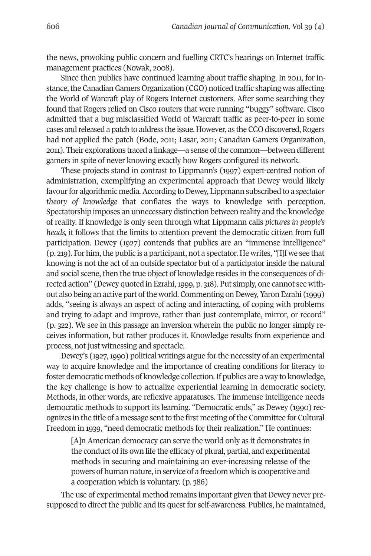the news, provoking public concern and fuelling CRTC's hearings on Internet traffic management practices (Nowak, 2008).

Since then publics have continued learning about traffic shaping. In 2011, for instance, the Canadian Gamers Organization (CGO) noticed traffic shaping was affecting the world of warcraft play of Rogers Internet customers. After some searching they found that Rogers relied on Cisco routers that were running "buggy" software. Cisco admitted that a bug misclassified world of warcraft traffic as peer-to-peer in some cases and released a patch to address the issue. However, as the CGO discovered, Rogers had not applied the patch (Bode, 2011; Lasar, 2011; Canadian Gamers Organization, 2011). Their explorations traced a linkage—a sense ofthe common—between different gamers in spite of never knowing exactly how Rogers configured its network.

These projects stand in contrast to Lippmann's (1997) expert-centred notion of administration, exemplifying an experimental approach that Dewey would likely favour for algorithmic media. According to Dewey, Lippmann subscribed to a *spectator theory of knowledge* that conflates the ways to knowledge with perception. Spectatorship imposes an unnecessary distinction between reality and the knowledge of reality. If knowledge is only seen through what Lippmann calls *pictures in people's heads,* it follows that the limits to attention prevent the democratic citizen from full participation. Dewey (1927) contends that publics are an "immense intelligence"  $(p, 219)$ . For him, the public is a participant, not a spectator. He writes, "[I]f we see that knowing is not the act of an outside spectator but of a participator inside the natural and social scene, then the true object of knowledge resides in the consequences of directed action" (Dewey quoted in Ezrahi, 1999, p. 318). Put simply, one cannot see without also being an active part of the world. Commenting on Dewey, Yaron Ezrahi (1999) adds, "seeing is always an aspect of acting and interacting, of coping with problems and trying to adapt and improve, rather than just contemplate, mirror, or record" (p. 322). we see in this passage an inversion wherein the public no longer simply receives information, but rather produces it. Knowledge results from experience and process, not just witnessing and spectacle.

Dewey's (1927, 1990) political writings argue for the necessity of an experimental way to acquire knowledge and the importance of creating conditions for literacy to foster democratic methods of knowledge collection.If publics are a way to knowledge, the key challenge is how to actualize experiential learning in democratic society. Methods, in other words, are reflexive apparatuses. The immense intelligence needs democratic methods to support its learning. "Democratic ends," as Dewey (1990) recognizes in the title of a message sentto the first meeting ofthe Committee for Cultural Freedom in 1939, "need democratic methods for their realization." He continues:

[A]n American democracy can serve the world only as it demonstrates in the conduct of its own life the efficacy of plural, partial, and experimental methods in securing and maintaining an ever-increasing release of the powers of human nature, in service of a freedom which is cooperative and a cooperation which is voluntary. (p. 386)

The use of experimental method remains important given that Dewey never presupposed to direct the public and its quest for self-awareness. Publics, he maintained,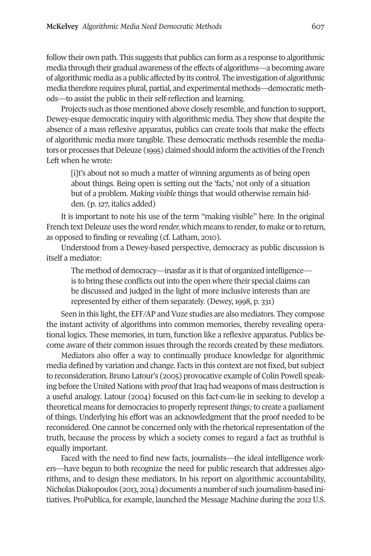follow their own path. This suggests that publics can form as a response to algorithmic media through their gradual awareness of the effects of algorithms—a becoming aware of algorithmic media as a public affected by its control. The investigation of algorithmic media therefore requires plural, partial, and experimental methods—democratic methods—to assist the public in their self-reflection and learning.

Projects such as those mentioned above closely resemble, and function to support, Dewey-esque democratic inquiry with algorithmic media. They show that despite the absence of a mass reflexive apparatus, publics can create tools that make the effects of algorithmic media more tangible. These democratic methods resemble the mediators or processes that Deleuze (1995) claimed should inform the activities of the French Left when he wrote:

[i]t's about not so much a matter of winning arguments as of being open about things. Being open is setting out the 'facts,' not only of a situation but of a problem. *Making visible* things that would otherwise remain hidden. (p. 127, italics added)

It is important to note his use of the term "making visible" here. In the original French text Deleuze uses the word *render*, which means to render, to make or to return, as opposed to finding or revealing (cf. Latham, 2010).

Understood from a dewey-based perspective, democracy as public discussion is itself a mediator:

The method of democracy—inasfar as it is that of organized intelligence is to bring these conflicts out into the open where their special claims can be discussed and judged in the light of more inclusive interests than are represented by either of them separately. (Dewey, 1998, p. 331)

Seen in this light, the EFF/AP and Vuze studies are also mediators. They compose the instant activity of algorithms into common memories, thereby revealing operational logics. These memories, in turn, function like a reflexive apparatus. Publics become aware of their common issues through the records created by these mediators.

Mediators also offer a way to continually produce knowledge for algorithmic media defined by variation and change. Facts in this context are not fixed, but subject to reconsideration. Bruno Latour's (2005) provocative example of Colin Powell speaking before the United Nations with *proof* that Iraq had weapons of mass destruction is a useful analogy. Latour (2004) focused on this fact-cum-lie in seeking to develop a theoretical means for democracies to properly represent*things;*to create a parliament of things. Underlying his effort was an acknowledgment that the proof needed to be reconsidered. One cannot be concerned only with the rhetorical representation of the truth, because the process by which a society comes to regard a fact as truthful is equally important.

Faced with the need to find new facts, journalists—the ideal intelligence workers—have begun to both recognize the need for public research that addresses algorithms, and to design these mediators. In his report on algorithmic accountability, Nicholas Diakopoulos (2013, 2014) documents a number of such journalism-based initiatives. ProPublica, for example, launched the Message Machine during the 2012 U.S.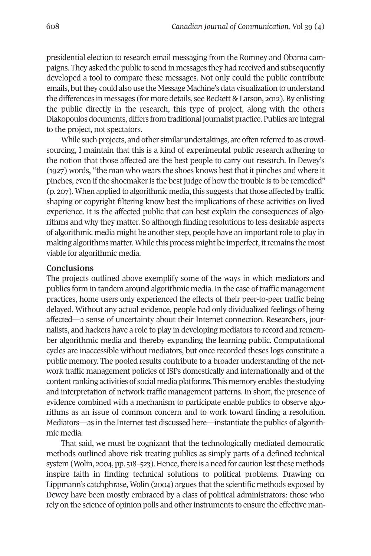presidential election to research email messaging from the Romney and obama campaigns. They asked the public to send in messages they had received and subsequently developed a tool to compare these messages. Not only could the public contribute emails, butthey could also use the Message Machine's data visualization to understand the differences in messages (for more details, see Beckett & Larson, 2012). By enlisting the public directly in the research, this type of project, along with the others diakopoulos documents, differs from traditional journalist practice. Publics are integral to the project, not spectators.

while such projects, and other similar undertakings, are often referred to as crowdsourcing, I maintain that this is a kind of experimental public research adhering to the notion that those affected are the best people to carry out research. In dewey's (1927) words, "the man who wears the shoes knows best that it pinches and where it pinches, even if the shoemaker is the best judge of how the trouble is to be remedied"  $(p, 207)$ . When applied to algorithmic media, this suggests that those affected by traffic shaping or copyright filtering know best the implications of these activities on lived experience. It is the affected public that can best explain the consequences of algorithms and why they matter. So although finding resolutions to less desirable aspects of algorithmic media might be another step, people have an important role to play in making algorithms matter. While this process might be imperfect, it remains the most viable for algorithmic media.

#### **Conclusions**

The projects outlined above exemplify some of the ways in which mediators and publics form in tandem around algorithmic media. In the case of traffic management practices, home users only experienced the effects of their peer-to-peer traffic being delayed. without any actual evidence, people had only dividualized feelings of being affected—a sense of uncertainty about their Internet connection. Researchers, journalists, and hackers have a role to play in developing mediators to record and remember algorithmic media and thereby expanding the learning public. Computational cycles are inaccessible without mediators, but once recorded theses logs constitute a public memory. The pooled results contribute to a broader understanding of the network traffic management policies of ISPs domestically and internationally and of the content ranking activities of social media platforms. This memory enables the studying and interpretation of network traffic management patterns. In short, the presence of evidence combined with a mechanism to participate enable publics to observe algorithms as an issue of common concern and to work toward finding a resolution. Mediators—as in the Internet test discussed here—instantiate the publics of algorithmic media.

That said, we must be cognizant that the technologically mediated democratic methods outlined above risk treating publics as simply parts of a defined technical system (Wolin, 2004, pp. 518–523). Hence, there is a need for caution lest these methods inspire faith in finding technical solutions to political problems. Drawing on Lippmann's catchphrase, wolin (2004) argues that the scientific methods exposed by Dewey have been mostly embraced by a class of political administrators: those who rely on the science of opinion polls and other instruments to ensure the effective man-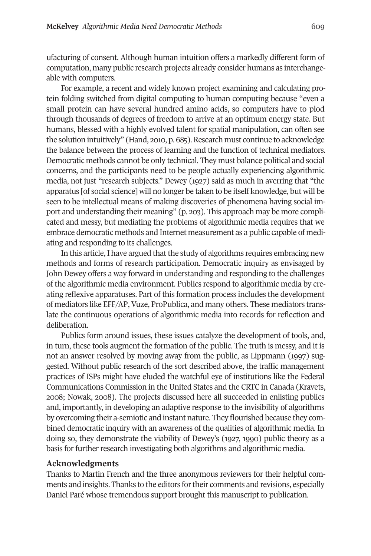ufacturing of consent. Although human intuition offers a markedly different form of computation, many public research projects already consider humans as interchangeable with computers.

For example, a recent and widely known project examining and calculating protein folding switched from digital computing to human computing because "even a small protein can have several hundred amino acids, so computers have to plod through thousands of degrees of freedom to arrive at an optimum energy state. But humans, blessed with a highly evolved talent for spatial manipulation, can often see the solution intuitively" (Hand, 2010, p. 685). Research must continue to acknowledge the balance between the process of learning and the function of technical mediators. Democratic methods cannot be only technical. They must balance political and social concerns, and the participants need to be people actually experiencing algorithmic media, not just "research subjects." Dewey (1927) said as much in averring that "the apparatus [of social science] will no longer be taken to be itself knowledge, but will be seen to be intellectual means of making discoveries of phenomena having social import and understanding their meaning" (p. 203). This approach may be more complicated and messy, but mediating the problems of algorithmic media requires that we embrace democratic methods and Internet measurement as a public capable of mediating and responding to its challenges.

In this article, I have argued that the study of algorithms requires embracing new methods and forms of research participation. Democratic inquiry as envisaged by John Dewey offers a way forward in understanding and responding to the challenges of the algorithmic media environment. Publics respond to algorithmic media by creating reflexive apparatuses. Part of this formation process includes the development of mediators like eFF/AP, Vuze, ProPublica, and many others. These mediators translate the continuous operations of algorithmic media into records for reflection and deliberation.

Publics form around issues, these issues catalyze the development of tools, and, in turn, these tools augment the formation of the public. The truth is messy, and it is not an answer resolved by moving away from the public, as Lippmann (1997) suggested. without public research of the sort described above, the traffic management practices of ISPs might have eluded the watchful eye of institutions like the Federal Communications Commission in the United States and the CRTC in Canada (Kravets, 2008; Nowak, 2008). The projects discussed here all succeeded in enlisting publics and, importantly, in developing an adaptive response to the invisibility of algorithms by overcoming their a-semiotic and instant nature. They flourished because they combined democratic inquiry with an awareness of the qualities of algorithmic media. In doing so, they demonstrate the viability of Dewey's (1927, 1990) public theory as a basis for further research investigating both algorithms and algorithmic media.

#### **Acknowledgments**

Thanks to Martin French and the three anonymous reviewers for their helpful comments and insights. Thanks to the editors fortheir comments and revisions, especially Daniel Paré whose tremendous support brought this manuscript to publication.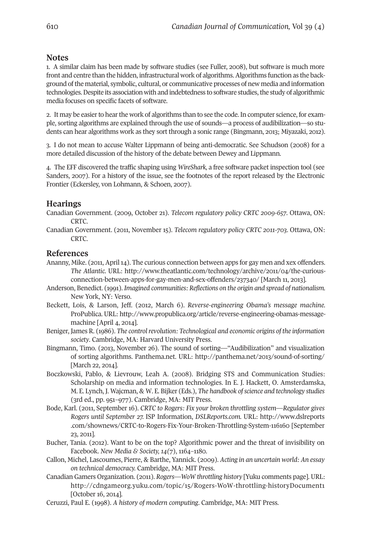### <span id="page-13-1"></span>**Notes**

1. A similar claim has been made by software studies (see Fuller, 2008), but software is much more front and centre than the hidden, infrastructural work of algorithms.Algorithms function as the background ofthe material, symbolic, cultural, or communicative processes of new media and information technologies. Despite its association with and indebtedness to software studies, the study of algorithmic media focuses on specific facets of software.

<span id="page-13-0"></span>2. It may be easier to hear the work of algorithms than to see the code. In computer science, for example, sorting algorithms are explained through the use of sounds—a process of audibilization—so students can hear algorithms work as they sort through a sonic range (Bingmann, 2013; Miyazaki, 2012).

<span id="page-13-3"></span><span id="page-13-2"></span>3. I do not mean to accuse walter Lippmann of being anti-democratic. See Schudson (2008) for a more detailed discussion of the history of the debate between dewey and Lippmann.

4. The eFF discovered the traffic shaping using *WireShark,* a free software packet inspection tool (see Sanders, 2007). For a history of the issue, see the footnotes of the report released by the Electronic Frontier (eckersley, von Lohmann, & Schoen, 2007).

## **Hearings**

Canadian Government. (2009, october 21). *Telecom regulatory policy CRTC 2009-657*. ottawa, oN: CRTC.

Canadian Government. (2011, November 15). *Telecom regulatory policy CRTC 2011-703*. ottawa, oN: CRTC.

#### **References**

- Ananny, Mike. (2011, April 14). The curious connection between apps for gay men and xex offenders. *The Atlantic.* URL: [http://www.theatlantic.com/technology/archive/2011/04/the-curious](http://www.theatlantic.com/technology/archive/2011/04/the-curious-connection-between-apps-for-gay-men-and-sex-offenders/237340)[connection-between-apps-for-gay-men-and-sex-offenders/237340/](http://www.theatlantic.com/technology/archive/2011/04/the-curious-connection-between-apps-for-gay-men-and-sex-offenders/237340) [March 11, 2013].
- Anderson, Benedict. (1991). *Imagined communities: Reflections on the origin and spread of nationalism.* New york, Ny: Verso.
- Beckett, Lois, & Larson, Jeff. (2012, March 6). *Reverse-engineering Obama's message machine.* ProPublica. URL: [http://www.propublica.org/article/reverse-engineering-obamas-message](http://www.propublica.org/article/reverse-engineering-obamas-message-machine)[machine](http://www.propublica.org/article/reverse-engineering-obamas-message-machine) [April 4, 2014].
- Beniger, James R. (1986). *The controlrevolution: Technological and economic origins of the information society*. Cambridge, MA: Harvard University Press.
- Bingmann, Timo. (2013, November 26). The sound of sorting—"Audibilization" and visualization of sorting algorithms. Panthema.net. URL: [http://panthema.net/2013/sound-of-sorting/](http://panthema.net/2013/sound-of-sorting) [March 22, 2014].
- Boczkowski, Pablo, & Lievrouw, Leah A. (2008). Bridging STS and Communication Studies: Scholarship on media and information technologies. In e. J. Hackett, o. Amsterdamska, M. e. Lynch, J. wajcman, & w. e. Bijker (eds.), *The handbook ofscience and technology studies* (3rd ed., pp. 951–977). Cambridge, MA: MIT Press.
- Bode, Karl. (2011, September 16). *CRTC to Rogers: Fix your broken throttling system—Regulator gives Rogers until September 27.* ISP Information, *DSLReports.com.* URL: [http://www.dslreports](http://www.dslreports.com/shownews/CRTC-to-Rogers-Fix-Your-Broken-Throttling-System-116160) [.com/shownews/CRTC-to-Rogers-Fix-your-Broken-Throttling-System-116160](http://www.dslreports.com/shownews/CRTC-to-Rogers-Fix-Your-Broken-Throttling-System-116160) [September 23, 2011].
- Bucher, Tania. (2012). want to be on the top? Algorithmic power and the threat of invisibility on Facebook. *New Media & Society, 14(*7), 1164–1180.
- Callon, Michel, Lascoumes, Pierre, & Barthe, yannick. (2009). *Acting in an uncertain world: An essay on technical democracy.* Cambridge, MA: MIT Press.
- Canadian Gamers organization. (2011). *Rogers—WoW throttling history* [yuku comments page]. URL: [http://cdngameorg.yuku.com/topic/15/Rogers-wow-throttling-historydocument1](http://cdngameorg.yuku.com/topic/15/Rogers-WoW-throttling-historyDocument1 ) [October 16, 2014].
- Ceruzzi, Paul e. (1998). *A history of modern computing*. Cambridge, MA: MIT Press.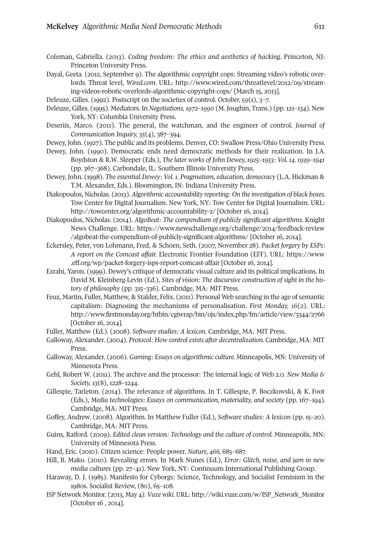- Coleman, Gabriella. (2013). *Coding freedom: The ethics and aesthetics of hacking.* Princeton, NJ: Princeton University Press.
- Dayal, Geeta. (2012, September 9). The algorithmic copyright cops: Streaming video's robotic overlords. Threat level, *Wired.com.* URL: [http://www.wired.com/threatlevel/2012/09/stream](http://www.wired.com/threatlevel/2012/09/streaming-videos-robotic-overlords-algorithmic-copyright-cops)[ing-videos-robotic-overlords-algorithmic-copyright-cops/](http://www.wired.com/threatlevel/2012/09/streaming-videos-robotic-overlords-algorithmic-copyright-cops) [March 15, 2013].
- deleuze, Gilles. (1992). Postscript on the societies of control. *October, 59*(1), 3–7.
- deleuze, Gilles. (1995). Mediators. In *Negotiations,1972–1990* (M. Joughin, Trans.) (pp.121–134). New York, NY: Columbia University Press.
- deseriis, Marco. (2011). The general, the watchman, and the engineer of control. *Journal of Communication Inquiry, 35*(4), 387–394.
- Dewey, John. (1927). The public and its problems. Denver, CO: Swallow Press/Ohio University Press.
- Dewey, John. (1990). Democratic ends need democratic methods for their realization. In J.A. Boydston & R.w. Sleeper (eds.), *The later works of John Dewey, 1925–1953: Vol. 14. 1939–1941* (pp. 367–368). Carbondale, IL: Southern Illinois University Press.
- dewey, John. (1998). *The essential Dewey: Vol. 1. Pragmatism, education, democracy* (L.A. Hickman & T.M. Alexander, eds.). Bloomington, IN: Indiana University Press.
- diakopoulos, Nicholas. (2013). *Algorithmic accountability reporting: On the investigation of black boxes.* Tow Center for Digital Journalism. New York, NY: Tow Center for Digital Journalism. URL: [http://towcenter.org/algorithmic-accountability-2/](http://towcenter.org/algorithmic-accountability-2) [October 16, 2014].
- diakopoulos, Nicholas. (2014). *AlgoBeat: The compendium of publicly significant algorithms*. Knight News Challenge. URL: [https://www.newschallenge.org/challenge/2014/feedback-review](https://www.newschallenge.org/challenge/2014/feedback-review/algobeat-the-compendium-of-publicly-significant-algorithms) [/algobeat-the-compendium-of-publicly-significant-algorithms/](https://www.newschallenge.org/challenge/2014/feedback-review/algobeat-the-compendium-of-publicly-significant-algorithms) [october 16, 2014].
- eckersley, Peter, von Lohmann, Fred, & Schoen, Seth. (2007, November 28). *Packet forgery by ESPs: A report on the Comcast affair.* electronic Frontier Foundation (eFF). URL: [https://www](https://www.eff.org/wp/packet-forgery-isps-report-comcast-affair) [.eff.org/wp/packet-forgery-isps-report-comcast-affair](https://www.eff.org/wp/packet-forgery-isps-report-comcast-affair) [october 16, 2014].
- Ezrahi, Yaron. (1999). Dewey's critique of democratic visual culture and its political implications. In david M. Kleinberg-Levin (ed.), *Sites of vision: The discursive construction of sight in the history of philosophy* (pp. 315–336). Cambridge, MA: MIT Press.
- Feuz, Martin, Fuller, Matthew, & Stalder, Felix. (2011). Personal web searching in the age of semantic capitalism: diagnosing the mechanisms of personalisation. *First Monday, 16*(2). URL: <http://www.firstmonday.org/htbin/cgiwrap/bin/ojs/index.php/fm/article/view/3344/2766> [October 16, 2014].
- Fuller, Matthew (ed.). (2008). *Software studies: A lexicon.* Cambridge, MA: MIT Press.
- Galloway, Alexander. (2004). *Protocol: How control exists after decentralization.* Cambridge, MA: MIT Press.
- Galloway, Alexander. (2006). *Gaming: Essays on algorithmic culture.* Minneapolis, MN: University of Minnesota Press.
- Gehl, Robert w. (2011). The archive and the processor: The internal logic of web 2.0. *New Media & Society, 13*(8), 1228–1244.
- Gillespie, Tarleton. (2014). The relevance of algorithms. In T. Gillespie, P. Boczkowski, & K. Foot (eds.), *Media technologies: Essays on communication, materiality, and society* (pp. 167–194). Cambridge, MA: MIT Press.
- Goffey, Andrew. (2008). Algorithm. In Matthew Fuller (ed.), *Software studies: A lexicon* (pp. 15–20). Cambridge, MA: MIT Press.
- Guins, Raiford. (2009). *Edited clean version: Technology and the culture of control.* Minneapolis, MN: University of Minnesota Press.
- Hand, eric. (2010). Citizen science: People power. *Nature, 466,* 685–687.
- Hill, B. Mako. (2010). Revealing errors. In Mark Nunes (ed.), *Error: Glitch, noise, and jam in new media cultures* (pp. 27–41). New york, Ny: Continuum International Publishing Group.
- Haraway, d. J. (1985). Manifesto for Cyborgs: Science, Technology, and Socialist Feminism in the 1980s. Socialist Review, (80), 65–108.
- ISP Network Monitor. (2013, May 4). *Vuze wiki.* URL: [http://wiki.vuze.com/w/ISP\\_Network\\_Monitor](http://wiki.vuze.com/w/ISP_Network_Monitor) [october 16 , 2014].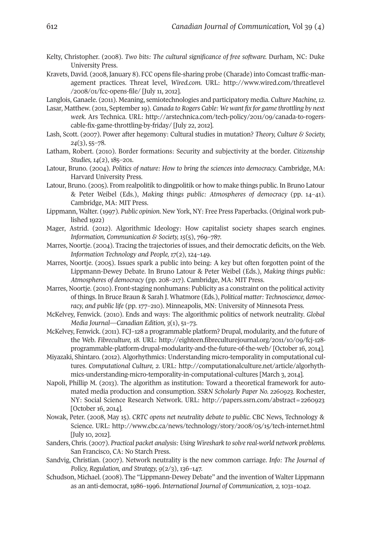- Kelty, Christopher. (2008). *Two bits: The cultural significance of free software. Durham, NC: Duke* University Press.
- Kravets, David. (2008, January 8). FCC opens file-sharing probe (Charade) into Comcast traffic-management practices. Threat level, *Wired.com.* URL: [http://www.wired.com/threatlevel](http://www.wired.com/threatlevel/2008/01/fcc-opens-file) [/2008/01/fcc-opens-file/](http://www.wired.com/threatlevel/2008/01/fcc-opens-file) [July 11, 2012].
- Langlois, Ganaele. (2011). Meaning, semiotechnologies and participatory media. *Culture Machine,12.*
- Lasar, Matthew. (2011, September19). *Canada to Rogers Cable: We want fix for game throttling by next week.* Ars Technica. URL: [http://arstechnica.com/tech-policy/2011/09/canada-to-rogers](http://arstechnica.com/tech-policy/2011/09/canada-to-rogers-cable-fix-game-throttling-by-friday)[cable-fix-game-throttling-by-friday/](http://arstechnica.com/tech-policy/2011/09/canada-to-rogers-cable-fix-game-throttling-by-friday) [July 22, 2012].
- Lash, Scott. (2007). Power after hegemony: Cultural studies in mutation? *Theory, Culture & Society, 24*(3), 55–78.
- Latham, Robert. (2010). Border formations: Security and subjectivity at the border. *Citizenship Studies, 14*(2), 185–201.
- Latour, Bruno. (2004). *Politics of nature: How to bring the sciences into democracy.* Cambridge, MA: Harvard University Press.
- Latour, Bruno. (2005). From realpolitik to dingpolitik or how to make things public. In Bruno Latour & Peter weibel (eds.), *Making things public: Atmospheres of democracy* (pp. 14–41). Cambridge, MA: MIT Press.
- Lippmann, walter. (1997). *Public opinion*. New york, Ny: Free Press Paperbacks. (original work published 1922)
- Mager, Astrid. (2012). Algorithmic Ideology: How capitalist society shapes search engines. *Information, Communication & Society, 15*(5), 769–787.
- Marres, Noortje. (2004). Tracing the trajectories of issues, and their democratic deficits, on the web. *Information Technology and People, 17*(2), 124–149.
- Marres, Noortje. (2005). Issues spark a public into being: A key but often forgotten point of the Lippmann-dewey debate. In Bruno Latour & Peter weibel (eds.), *Making things public: Atmospheres of democracy* (pp. 208–217). Cambridge, MA: MIT Press.
- Marres, Noortje. (2010). Front-staging nonhumans: Publicity as a constraint on the political activity of things. In Bruce Braun & Sarah J. whatmore (eds.), *Political matter: Technoscience, democracy, and public life* (pp. 177–210). Minneapolis, MN: University of Minnesota Press.
- McKelvey, Fenwick. (2010). ends and ways: The algorithmic politics of network neutrality. *Global Media Journal—Canadian Edition, 3*(1), 51–73.
- McKelvey, Fenwick. (2011). FCJ-128 a programmable platform? Drupal, modularity, and the future of the web. *Fibreculture, 18.* URL: [http://eighteen.fibreculturejournal.org/2011/10/09/fcj-128](http://eighteen.fibreculturejournal.org/2011/10/09/fcj-128-programmable-platform-drupal-modularity-and-the-future-of-the-web) [programmable-platform-drupal-modularity-and-the-future-of-the-web/](http://eighteen.fibreculturejournal.org/2011/10/09/fcj-128-programmable-platform-drupal-modularity-and-the-future-of-the-web) [october 16, 2014].
- Miyazaki, Shintaro. (2012). Algorhythmics: Understanding micro-temporality in computational cultures. *Computational Culture, 2.* URL: [http://computationalculture.net/article/algorhyth](http://computationalculture.net/article/algorhythmics-understanding-micro-temporality-in-computational-cultures)[mics-understanding-micro-temporality-in-computational-cultures](http://computationalculture.net/article/algorhythmics-understanding-micro-temporality-in-computational-cultures) [March 3, 2014].
- Napoli, Phillip M. (2013). The algorithm as institution: Toward a theoretical framework for automated media production and consumption. *SSRN Scholarly Paper No. 2260923.* Rochester, Ny: Social Science Research Network. URL: <http://papers.ssrn.com/abstract=2260923> [October 16, 2014].
- Nowak, Peter. (2008, May 15). *CRTC opens net neutrality debate to public.* CBC News, Technology & Science. URL: <http://www.cbc.ca/news/technology/story/2008/05/15/tech-internet.html> [July 10, 2012].
- Sanders, Chris. (2007). *Practical packet analysis: Using Wireshark to solve real-world network problems.* San Francisco, CA: No Starch Press.
- Sandvig, Christian. (2007). Network neutrality is the new common carriage. *Info: The Journal of Policy, Regulation, and Strategy, 9*(2/3), 136–147.
- Schudson, Michael. (2008). The "Lippmann-Dewey Debate" and the invention of Walter Lippmann as an anti-democrat, 1986–1996. *International Journal of Communication, 2,* 1031–1042.